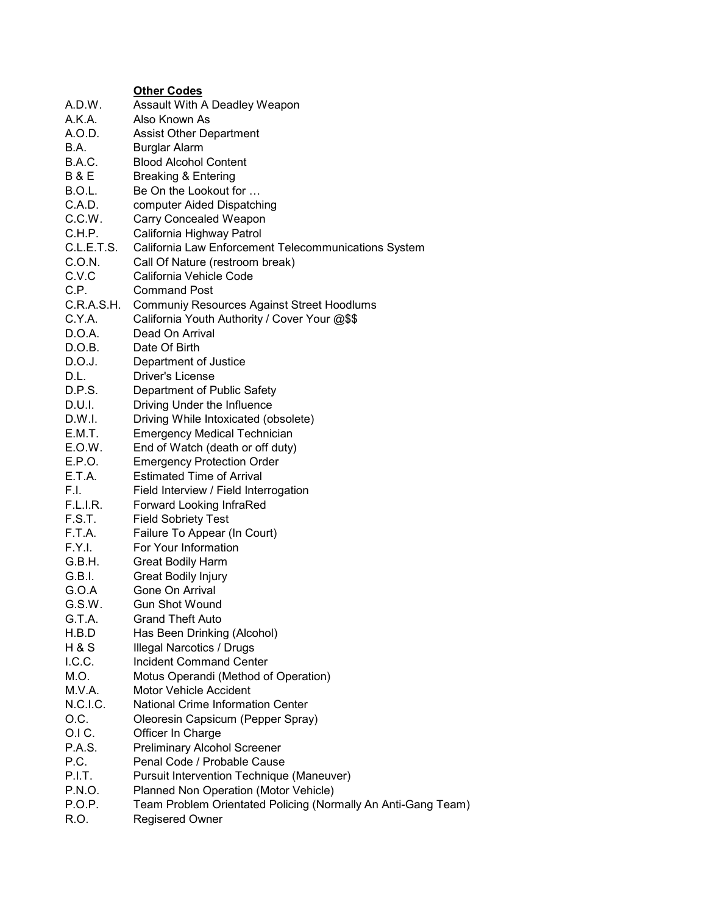|                | <b>Other Codes</b>                                            |
|----------------|---------------------------------------------------------------|
| A.D.W.         | Assault With A Deadley Weapon                                 |
| A.K.A.         | Also Known As                                                 |
| A.O.D.         | <b>Assist Other Department</b>                                |
| <b>B.A.</b>    | <b>Burglar Alarm</b>                                          |
| B.A.C.         | <b>Blood Alcohol Content</b>                                  |
| <b>B&amp;E</b> | <b>Breaking &amp; Entering</b>                                |
| B.O.L.         | Be On the Lookout for                                         |
| C.A.D.         |                                                               |
|                | computer Aided Dispatching                                    |
| C.C.W.         | <b>Carry Concealed Weapon</b>                                 |
| C.H.P.         | California Highway Patrol                                     |
| C.L.E.T.S.     | California Law Enforcement Telecommunications System          |
| C.O.N.         | Call Of Nature (restroom break)                               |
| C.V.C          | California Vehicle Code                                       |
| C.P.           | <b>Command Post</b>                                           |
| C.R.A.S.H.     | <b>Communiy Resources Against Street Hoodlums</b>             |
| C.Y.A.         | California Youth Authority / Cover Your @\$\$                 |
| D.O.A.         | Dead On Arrival                                               |
| D.O.B.         | Date Of Birth                                                 |
| D.O.J.         | Department of Justice                                         |
| D.L.           | <b>Driver's License</b>                                       |
| D.P.S.         | Department of Public Safety                                   |
| D.U.I.         | Driving Under the Influence                                   |
| D.W.I.         | Driving While Intoxicated (obsolete)                          |
| E.M.T.         | <b>Emergency Medical Technician</b>                           |
| E.O.W.         | End of Watch (death or off duty)                              |
| E.P.O.         | <b>Emergency Protection Order</b>                             |
| E.T.A.         | <b>Estimated Time of Arrival</b>                              |
| F.I.           | Field Interview / Field Interrogation                         |
| F.L.I.R.       | <b>Forward Looking InfraRed</b>                               |
| F.S.T.         | <b>Field Sobriety Test</b>                                    |
| F.T.A.         | Failure To Appear (In Court)                                  |
| F.Y.I.         | For Your Information                                          |
| G.B.H.         | <b>Great Bodily Harm</b>                                      |
| G.B.I.         | <b>Great Bodily Injury</b>                                    |
| G.O.A          | Gone On Arrival                                               |
| G.S.W.         | <b>Gun Shot Wound</b>                                         |
| G.T.A.         | <b>Grand Theft Auto</b>                                       |
| H.B.D          | Has Been Drinking (Alcohol)                                   |
| H & S          | <b>Illegal Narcotics / Drugs</b>                              |
| I.C.C.         | <b>Incident Command Center</b>                                |
| M.O.           | Motus Operandi (Method of Operation)                          |
| M.V.A.         | Motor Vehicle Accident                                        |
| N.C.I.C.       | <b>National Crime Information Center</b>                      |
| O.C.           | Oleoresin Capsicum (Pepper Spray)                             |
| O.IC.          | Officer In Charge                                             |
| P.A.S.         | <b>Preliminary Alcohol Screener</b>                           |
| P.C.           | Penal Code / Probable Cause                                   |
| P.I.T.         | <b>Pursuit Intervention Technique (Maneuver)</b>              |
| P.N.O.         | Planned Non Operation (Motor Vehicle)                         |
| P.O.P.         | Team Problem Orientated Policing (Normally An Anti-Gang Team) |
| R.O.           | Regisered Owner                                               |
|                |                                                               |